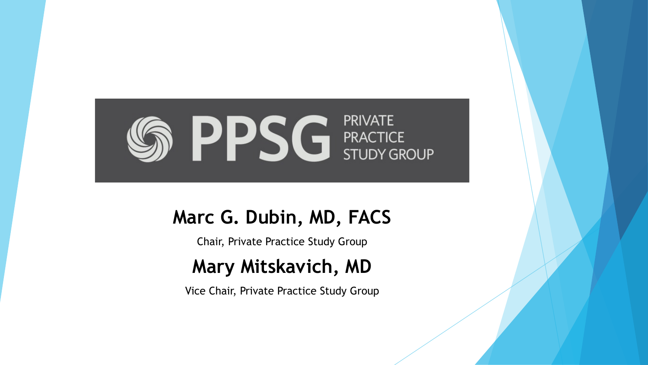

#### **Marc G. Dubin, MD, FACS**

Chair, Private Practice Study Group

#### **Mary Mitskavich, MD**

Vice Chair, Private Practice Study Group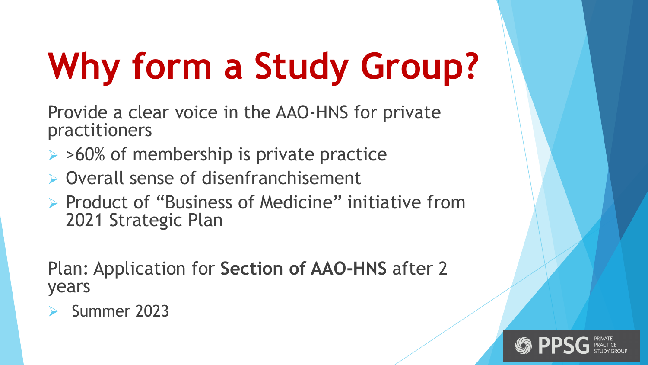# **Why form a Study Group?**

Provide a clear voice in the AAO-HNS for private practitioners

- $\triangleright$  >60% of membership is private practice
- $\triangleright$  Overall sense of disenfranchisement
- Ø Product of "Business of Medicine" initiative from 2021 Strategic Plan

Plan: Application for **Section of AAO-HNS** after 2 years

Summer 2023

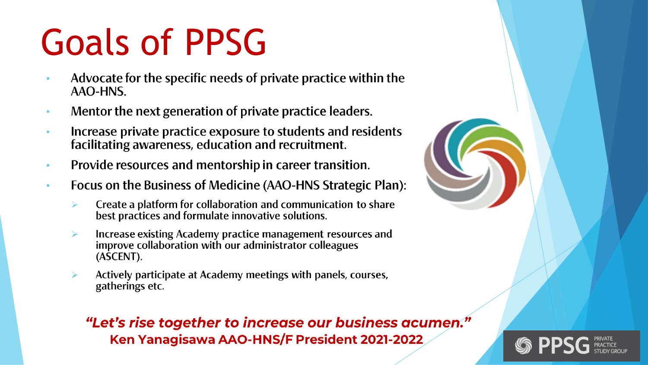# **Goals of PPSG**

- Advocate for the specific needs of private practice within the AAO-HNS.
- Mentor the next generation of private practice leaders.  $\bullet$
- Increase private practice exposure to students and residents  $\bullet$ facilitating awareness, education and recruitment.
- Provide resources and mentorship in career transition.  $\bullet$
- Focus on the Business of Medicine (AAO-HNS Strategic Plan):  $\bullet$ 
	- Create a platform for collaboration and communication to share  $\blacktriangleright$ best practices and formulate innovative solutions.
	- Increase existing Academy practice management resources and ➤ improve collaboration with our administrator colleagues (ASCENT).
	- Actively participate at Academy meetings with panels, courses, ⋗ gatherings etc.

#### "Let's rise together to increase our business acumen." Ken Yanagisawa AAO-HNS/F President 2021-2022



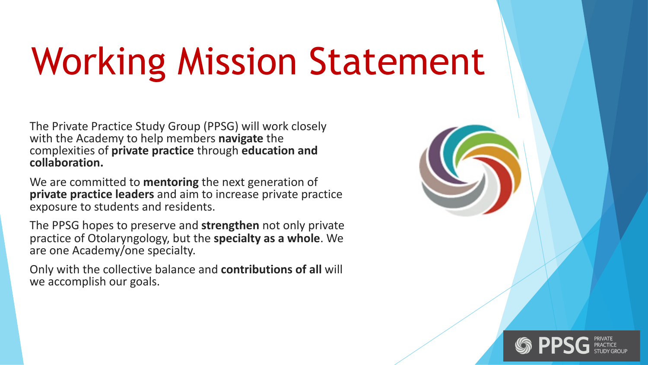# Working Mission Statement

The Private Practice Study Group (PPSG) will work closely with the Academy to help members **navigate** the complexities of **private practice** through **education and collaboration.**

We are committed to **mentoring** the next generation of **private practice leaders** and aim to increase private practice exposure to students and residents.

The PPSG hopes to preserve and **strengthen** not only private practice of Otolaryngology, but the **specialty as a whole**. We are one Academy/one specialty.

Only with the collective balance and **contributions of all** will we accomplish our goals.



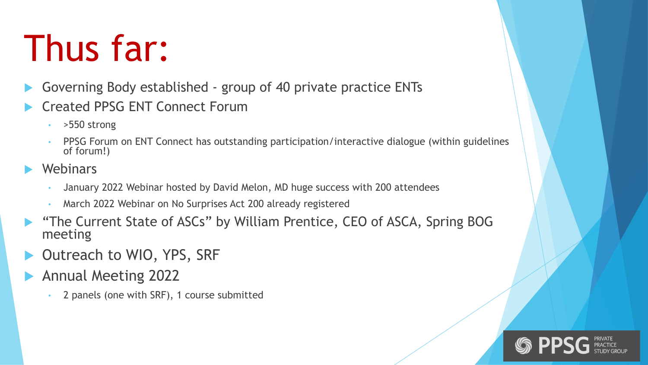#### Thus far:

- Governing Body established group of 40 private practice ENTs
- u Created PPSG ENT Connect Forum
	- $\cdot$  > 550 strong
	- PPSG Forum on ENT Connect has outstanding participation/interactive dialogue (within guidelines of forum!)
- Webinars
	- January 2022 Webinar hosted by David Melon, MD huge success with 200 attendees
	- March 2022 Webinar on No Surprises Act 200 already registered
- "The Current State of ASCs" by William Prentice, CEO of ASCA, Spring BOG meeting
- Outreach to WIO, YPS, SRF
- Annual Meeting 2022
	- 2 panels (one with SRF), 1 course submitted

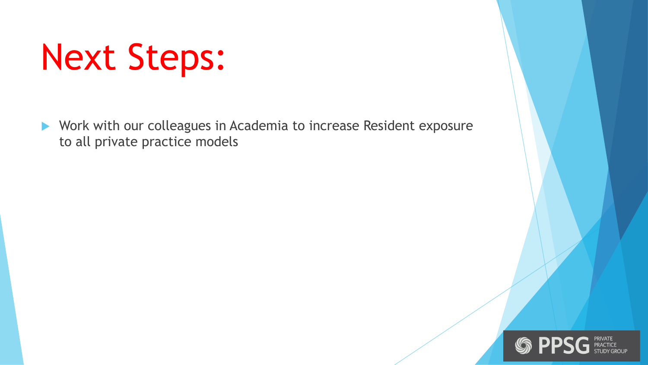### Next Steps:

▶ Work with our colleagues in Academia to increase Resident exposure to all private practice models

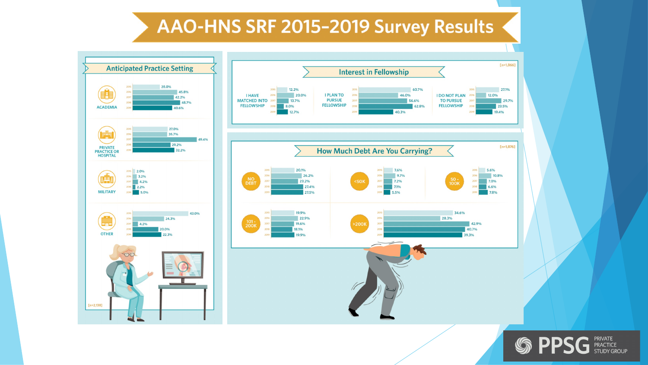#### AAO-HNS SRF 2015-2019 Survey Results



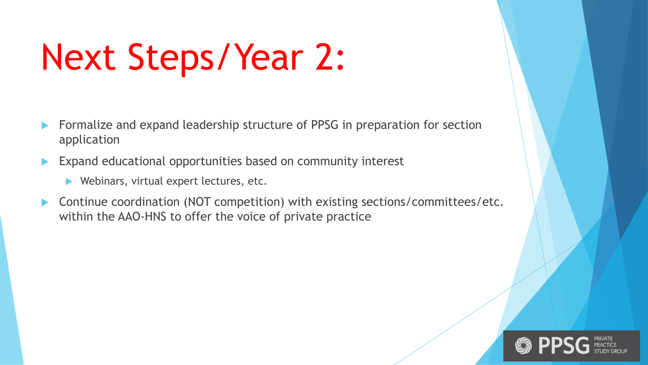# Next Steps/Year 2:

- Formalize and expand leadership structure of PPSG in preparation for section application
- Expand educational opportunities based on community interest
	- $\blacktriangleright$  Webinars, virtual expert lectures, etc.
- Continue coordination (NOT competition) with existing sections/committees/etc. within the AAO-HNS to offer the voice of private practice

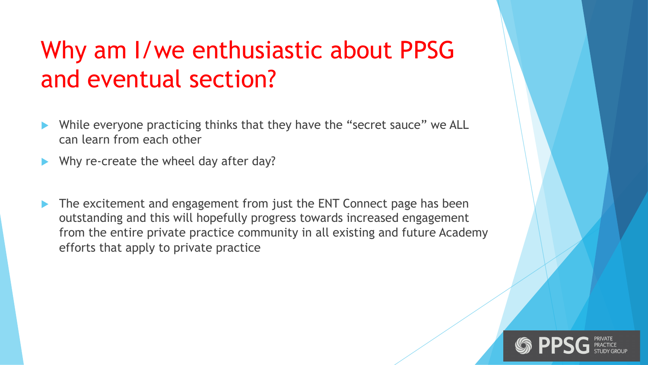#### Why am I/we enthusiastic about PPSG and eventual section?

- While everyone practicing thinks that they have the "secret sauce" we ALL can learn from each other
- Why re-create the wheel day after day?
- The excitement and engagement from just the ENT Connect page has been outstanding and this will hopefully progress towards increased engagement from the entire private practice community in all existing and future Academy efforts that apply to private practice